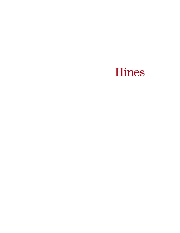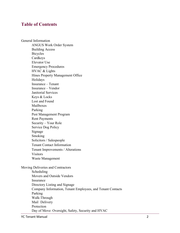# **Table of Contents**

General Information ANGUS Work Order System Building Access Bicycles Cardkeys Elevator Use Emergency Procedures HVAC & Lights Hines Property Management Office Holidays Insurance – Tenant Insurance – Vendor Janitorial Services Keys & Locks Lost and Found Mailboxes Parking Pest Management Program Rent Payments Security – Your Role Service Dog Policy Signage Smoking Solicitors / Salespeople Tenant Contact Information Tenant Improvements / Alterations Visitors Waste Management Moving Deliveries and Contractors Scheduling Movers and Outside Vendors Insurance Directory Listing and Signage Company Information, Tenant Employees, and Tenant Contacts Parking Walk-Through

Day of Move: Oversight, Safety, Security and HVAC

Mail Delivery Protection

YC Tenant Manual 2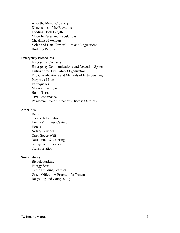After the Move: Clean-Up Dimensions of the Elevators Loading Dock Length Move In Rules and Regulations Checklist of Vendors Voice and Data Carrier Rules and Regulations Building Regulations

Emergency Procedures

Emergency Contacts Emergency Communications and Detection Systems Duties of the Fire Safety Organization Fire Classifications and Methods of Extinguishing Purpose of Plan Earthquakes Medical Emergency Bomb Threat Civil Disturbance Pandemic Flue or Infectious Disease Outbreak

#### Amenities

Banks Garage Information Health & Fitness Centers **Hotels** Notary Services Open Space Wifi Restaurants & Catering Storage and Lockers Transportation

#### Sustainability

Bicycle Parking Energy Star Green Building Features Green Office – A Program for Tenants Recycling and Composting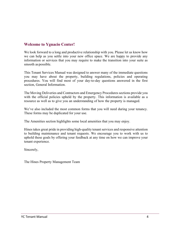# **Welcome to Ygnacio Center!**

We look forward to a long and productive relationship with you. Please let us know how we can help as you settle into your new office space. We are happy to provide any information or services that you may require to make the transition into your suite as smooth as possible.

This Tenant Services Manual was designed to answer many of the immediate questions you may have about the property, building regulations, policies and operating procedures. You will find most of your day-to-day questions answered in the first section, General Information.

The Moving Deliveries and Contractors and Emergency Procedures sections provide you with the official policies upheld by the property. This information is available as a resource as well as to give you an understanding of how the property is managed.

We've also included the most common forms that you will need during your tenancy. These forms may be duplicated for your use.

The Amenities section highlights some local amenities that you may enjoy.

Hines takes great pride in providing high-quality tenant services and responsive attention to building maintenance and tenant requests. We encourage you to work with us to uphold these goals by offering your feedback at any time on how we can improve your tenant experience.

Sincerely,

The Hines Property Management Team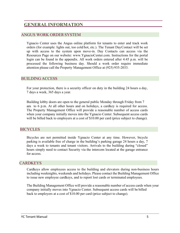# **GENERALINFORMATION**

### ANGUS WORK ORDERSYSTEM

Ygnacio Center uses the Angus online platform for tenants to enter and track work orders (for example: lights out, too cold/hot, etc.). The Tenant DayContact will be set up with access to the system upon move-in. Day Contacts can access via the Resources Page on our website: www.YgnacioCenter.com. Instructions for the portal login can be found in the appendix. All work orders entered after 4:45 p.m. will be processed the following business day. Should a work order require immediate attention please call the Property Management Office at (925) 935-2033.

#### BUILDING ACCESS

For your protection, there is a security officer on duty in the building 24 hours a day, 7 days a week, 365 days a year.

Building lobby doors are open to the general public Monday through Friday from 7 am to  $6$  p.m. At all other hours and on holidays, a cardkey is required for access. The Property Management Office will provide a reasonable number of access cards when your company initially moves into the Ygnacio Center. Subsequent access cards will be billed back to employers at a cost of \$10.00 per card (price subject to change).

### BICYCLES

Bicycles are not permitted inside Ygnacio Center at any time. However, bicycle parking is available free of charge in the building's parking garage 24 hours a day, 7 days a week to tenants and tenant visitors. Arrivals to the building during "closed" hours simply need to contact Security via the intercom located at the garage entrance for access.

### **CARDKEYS**

Cardkeys allow employees access to the building and elevators during non-business hours including weeknights, weekends and holidays. Please contact the Building Management Office to issue new employee cardkeys, and to report lost cards or terminated employees.

The Building Management Office will provide a reasonable number of access cards when your company initially moves into Ygnacio Center. Subsequent access cards will be billed back to employers at a cost of \$10.00 per card (price subject to change).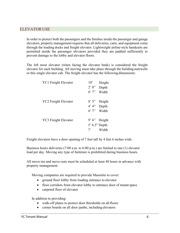### ELEVATOR USE

In order to protect both the passengers and the finishes inside the passenger and garage elevators, property management requires that all deliveries, carts, and equipment come through the loading docks and freight elevator. Lightweight airline-style handcarts are permitted inside the passenger elevators provided they are padded sufficiently to prevent damage to the lobby and elevator floors.

The left most elevator (when facing the elevator bank) is considered the freight elevator for each building. All moving must take place through the building stairwells or this single elevator cab. The freight elevator has the following dimensions:

| <b>YC1</b> Freight Elevator | $10^{\circ}$ | Height          |
|-----------------------------|--------------|-----------------|
|                             | 2'8''        | Depth           |
|                             | $6'$ 7"      | Width           |
|                             |              |                 |
| <b>YC2</b> Freight Elevator | 8'5''        | Height          |
|                             | 4' 4''       | Depth           |
|                             | 6'7''        | Width           |
|                             |              |                 |
| <b>YC3</b> Freight Elevator | 9'6'         | Height          |
|                             |              | $5'$ 6.5" Depth |
|                             | $7^,$        | Width           |
|                             |              |                 |

Freight elevators have a door opening of 7 feet tall by 4 feet 6 inches wide.

Business hours deliveries (7:00 a.m. to 6:00 p.m.) are limited to one (1) elevator load per day. Moving any type of furniture is prohibited during business hours.

All move-ins and move-outs must be scheduled at least 48 hours in advance with property management.

Moving companies are required to provide Masonite to cover:

- ground floor lobby from loading entrance to elevator
- floor corridors from elevator lobby to entrance door of tenant space
- carpeted floor of elevator

In addition to providing:

- walk-off plates to protect door thresholds on all floors
- corner boards on all door jambs, including elevators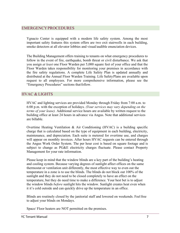## EMERGENCYPROCEDURES

Ygnacio Center is equipped with a modern life safety system. Among the most important safety features this system offers are two exit stairwells in each building, smoke detectors at all elevator lobbies and visual/audible enunciation devices.

The Building Management offers training to tenants on what emergency procedures to follow in the event of fire, earthquake, bomb threat or civil disturbance. We ask that you assign *at least* one Floor Warden per 5,000 square feet of your office and that the Floor Warden takes responsibility for monitoring your premises in accordance with the fire safety regulations. A complete Life Safety Plan is updated annually and distributed at the Annual Floor Warden Training. Life SafetyPlans are available upon request to all employees. For more comprehensive information, please see the "Emergency Procedures" sections that follow.

### HVAC & LIGHTS

HVAC and lighting services are provided Monday through Friday from 7:00 a.m. to 6:00 p.m. with the exception of holidays. *(Your services may vary depending on the terms of your lease).* Additional service hours are available by written request to the building office at least 24 hours in advance via Angus. Note that additional services are billable.

Overtime Heating Ventilation & Air Conditioning (HVAC) is a building specific charge that is calculated based on the type of equipment in each building, electricity, maintenance, and depreciation. Each suite is metered for overtime use, and charges will appear on monthly invoices. After hours HVAC requests can be entered through the Angus Work Order System. The per hour cost is based on square footage and is subject to change as PG&E electricity charges fluctuate. Please contact Property Management for your rate information.

Please keep in mind that the window blinds are a key part of the building's heating and cooling system. Because varying degrees of sunlight affect offices on the same thermostat or ventilation unit differently, the most effective way to even out the temperature in a zone is to use the blinds. The blinds do not block out 100% of the sunlight and they do not need to be closed completely to have an effect on the temperature, but they do need time to make a difference. Your best bet is to adjust the window blinds *before* sunlight hits the window. Sunlight creates heat even when it it's cold outside and can quickly drive up the temperature in an office.

Blinds are routinely closed by the janitorial staff and lowered on weekends. Feelfree to adjust your blinds on Mondays.

Space/ Floor heaters are NOT permitted on the premises.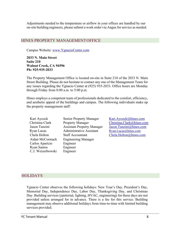Adjustments needed to the temperature or airflow in your offices are handled by our on-site building engineers, please submit a work order via Angus for service as needed.

### HINES PROPERTY MANAGEMENTOFFICE

Campus Website: [www.YgnacioCenter.com](http://www.ygnaciocenter.com/)

**2033 N. Main Street Suite 210 Walnut Creek, CA 94596 Ph: 925-935-2033**

The Property Management Office is located on-site in Suite 210 of the 2033 N. Main Street Building. Please do not hesitate to contact any one of the Management Team for any issues regarding the Ygnacio Center at (925) 935-2033. Office hours are Monday through Friday from 8:00 a.m. to 5:00 p.m.

Hines employs a competent team of professionals dedicated to the comfort, efficiency, and aesthetic appeal of the buildings and campus. The following individuals make up the property management staff:

Kari Aycock Senior Property Manager [Kari.Aycock@hines.com](mailto:Kari.Aycock@hines.com) Christina Clark Jason Tunzini Property Manager Assistant Property Manager Ryan Lucas Administrative Assistant [Ryan.Lucas@hines.com](mailto:Ryan.Lucas@hines.com) Chela Holton Staff Accountant [Chela.Holton@hines.com](mailto:Chela.Holton@hines.com) Aidan McCormack Engineering Manager Carlos Aparicio Ryan Santos C.J. Weizerbowski Engineer Engineer Engineer

[Christina.Clark@hines.com](mailto:Christina.Clark@hines.com) Jason.Tunzini@hines.com

### **HOLIDAYS**

Ygnacio Center observes the following holidays: New Year's Day, President's Day, Memorial Day, Independence Day, Labor Day, Thanksgiving Day, and Christmas Day. Building services (janitorial, lighting, HVAC, engineering) for these days are not provided unless arranged for in advance. There is a fee for this service. Building management may observe additional holidays from time-to-time with limited building services provided.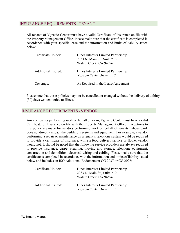### INSURANCE REQUIREMENTS -TENANT

All tenants of Ygnacio Center must have a valid Certificate of Insurance on file with the Property Management Office. Please make sure that the certificate is completed in accordance with your specific lease and the information and limits of liability stated below:

| Certificate Holder: | Hines Interests Limited Partnership<br>2033 N. Main St., Suite 210<br>Walnut Creek, CA 94596 |
|---------------------|----------------------------------------------------------------------------------------------|
| Additional Insured: | Hines Interests Limited Partnership<br>Ygnacio Center Owner LLC                              |
| Coverage:           | As Required in the Lease Agreement                                                           |

Please note that these policies may not be cancelled or changed without the delivery of a thirty (30) days written notice to Hines.

### INSURANCE REQUIREMENTS -VENDOR

Any companies performing work on behalf of, or in, Ygnacio Center must have a valid Certificate of Insurance on file with the Property Management Office. Exceptions to this policy are made for vendors performing work on behalf of tenants, whose work does not directly impact the building's systems and equipment. For example, a vendor performing a repair or maintenance on a tenant's telephone system would be required to provide a certificate of insurance, while a food delivery service or flower vendor would not. It should be noted that the following service providers are always required to provide insurance: carpet cleaning, moving and storage, telephone equipment, construction and demolition, electrical wiring and cabling. Please make sure that the certificate is completed in accordance with the information and limits of liability stated below and includes an ISO Additional Endorsement CG 2037 or CG 2026:

| Certificate Holder:        | Hines Interests Limited Partnership<br>2033 N. Main St., Suite 210<br>Walnut Creek, CA 94596 |
|----------------------------|----------------------------------------------------------------------------------------------|
| <b>Additional Insured:</b> | Hines Interests Limited Partnership<br>Ygnacio Center Owner LLC                              |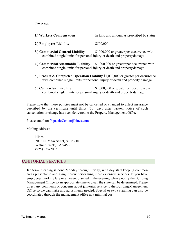Coverage:

| 1.) Workers Compensation | In kind and amount as prescribed by statue |
|--------------------------|--------------------------------------------|
|--------------------------|--------------------------------------------|

#### **2.) Employers Liability** \$500,000

- **3.) Commercial General Liability** \$1000,000 or greater per occurrence with combined single limits for personal injury or death and property damage
- **4.) Commercial Automobile Liability** \$1,000,000 or greater per occurrence with combined single limits for personal injury or death and property damage
- **5.) Product & Completed Operation Liability** \$1,000,000 or greater per occurrence with combined single limits for personal injury or death and property damage
- **6.) Contractual Liability** \$1,000,000 or greater per occurrence with combined single limits for personal injury or death and property damage

Please note that these policies must not be cancelled or changed to affect insurance described by the certificate until thirty (30) days after written notice of such cancellation or change has been delivered to the Property Management Office.

Please email to: [YgnacioCenter@hines.com](mailto:YgnacioCenter@hines.com)

Mailing address:

**Hines** 2033 N. Main Street, Suite 210 Walnut Creek, CA 94596 (925) 935-2033

### JANITORIAL SERVICES

Janitorial cleaning is done Monday through Friday, with day staff keeping common areas presentable and a night crew performing more extensive services. If you have employees working late or an event planned in the evening, please notify the Building Management Office so an appropriate time to clean the suite can be determined. Please direct any comments or concerns about janitorial service to the Building Management Office so we can make any adjustments needed. Special or extra cleaning can also be coordinated through the management office at a minimal cost.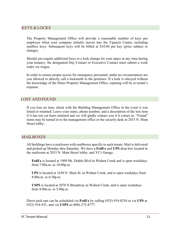## KEYS & LOCKS

The Property Management Office will provide a reasonable number of keys per employee when your company initially moves into the Ygnacio Center, including mailbox keys. Subsequent keys will be billed at \$10.00 per key (price subject to change).

Should you require additional keys or a lock change for your space at any time during your tenancy, the designated Day Contact or Executive Contact must submit a work order via Angus.

In order to ensure proper access for emergency personnel, under no circumstances are you allowed to directly call a locksmith to the premises. If a lock is rekeyed without the knowledge of the Hines Property Management Office, repining will be at tenant's expense.

### LOST AND FOUND

If you lose an item, check with the Building Management Office in the event it was found or returned. Leave your name, phone number, and a description of the lost item if it has not yet been returned and we will gladly contact you if it comes in. "Found" items may be turned in to the management office or the security desk in 2033 N. Main Street lobby.

### MAILBOXES

All buildings have a mailroom with mailboxes specific to each tenant. Mail is delivered and picked up Monday thru Saturday. We have a **FedEx** and **UPS** drop box located in the mailroom at 2033 N. Main Street lobby, and YC1 Garage.

**FedEx** is located at 1909 Mt. Diablo Blvd in Walnut Creek and is open weekdays from 7:00a.m. to 10:00p.m.

**UPS** is located at 1630 N. Main St. in Walnut Creek, and is open weekdays from 8:00a.m. to 6:30p.m.

**USPS** is located at 2070 N Broadway in Walnut Creek, and is open weekdays from 8:00a.m. to 5:00p.m.

Direct pick-ups can be scheduled via **FedEx** by calling (925) 934-8254 or via **UPS** at (925) 934-931, and via **USPS** at (800) 275-8777.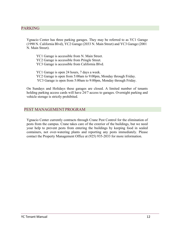# PARKING

Ygnacio Center has three parking garages. They may be referred to as YC1 Garage (1990 N. California Blvd), YC2 Garage (2033 N. Main Street) and YC3 Garage (2001 N. Main Street).

YC1 Garage is accessible from N. Main Street. YC2 Garage is accessible from Pringle Street. YC3 Garage is accessible from California Blvd.

YC1 Garage is open 24 hours, 7 days a week. YC2 Garage is open from 5:00am to 9:00pm, Monday through Friday. YC3 Garage is open from 5:00am to 9:00pm, Monday through Friday.

On Sundays and Holidays these garages are closed. A limited number of tenants holding parking access cards will have 24/7 access to garages. Overnight parking and vehicle storage is strictly prohibited.

### PEST MANAGEMENTPROGRAM

Ygnacio Center currently contracts through Crane Pest Control for the elimination of pests from the campus. Crane takes care of the exterior of the buildings, but we need your help to prevent pests from entering the buildings by keeping food in sealed containers, not over-watering plants and reporting any pests immediately. Please contact the Property Management Office at (925) 935-2033 for more information.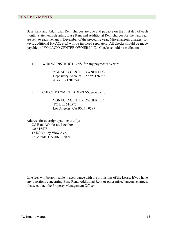Base Rent and Additional Rent charges are due and payable on the first day of each month. Statements detailing Base Rent and Additional Rent charges for the next year are sent to each Tenant in December of the preceding year. Miscellaneous charges (for keys, additional HVAC, etc.) will be invoiced separately. All checks should be made payable to "YGNACIO CENTER OWNER LLC." Checks should be mailed to:

1. WIRING INSTRUCTIONS, for any payments by wire

YGNACIO CENTER OWNERLLC Depository Account: 153796126065 ABA: 121201694

2. CHECK PAYMENT ADDRESS, payable to:

YGNACIO CENTER OWNER LLC PO Box 516575 Los Angeles, CA 90051-0597

Address for overnight payments only: US Bank Wholesale Lockbox c/o 516575 16420 Valley View Ave. La Mirada, CA90638-5821

Late fees will be applicable in accordance with the provisions of the Lease. If you have any questions concerning Base Rent, Additional Rent or other miscellaneous charges, please contact the Property Management Office.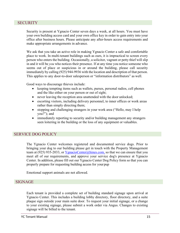### **SECURITY**

Security is present at Ygnacio Center seven days a week, at all hours. You must have your own building access card and your own office key in order to gain entry into your office after business hours. Please anticipate any after-hours access requirements and make appropriate arrangements in advance.

We ask that you take an active role in making Ygnacio Center a safe and comfortable place to work. In multi-tenant buildings such as ours, it is impractical to screen every person who enters the building. Occasionally, a solicitor, vagrant or petty thief will slip in and it will be *you* who notices their presence. If at any time you notice someone who seems out of place or suspicious in or around the building, please call security immediately by calling (925) 944-9936 with the location and description of that person. This applies to any door-to-door salesperson or "information distributors" as well.

Good ways to discourage thieves include:

- keeping tempting items such as wallets, purses, personal radios, cell phones and the like either on your person or out of sight;
- never leaving the reception area unattended with the door unlocked;
- escorting visitors, including delivery personnel, to inner offices or work areas rather than simply directing them;
- stopping and challenging strangers in your work area ("Hello, may I help you?"); and
- immediately reporting to security and/or building management any strangers seen loitering in the building or the loss of any equipment or valuables.

### SERVICE DOG POLICY

The Ygnacio Center welcomes registered and documented service dogs. Prior to bringing your dog to our building please get in touch with the Property Management team at (925) 935-2033, or [YgnacioCenter@hines.com,](mailto:YgnacioCenter@hines.com) so that we can ensure that you meet all of our requirements, and approve your service dog's presence at Ygnacio Center. In addition, please fill out our Ygnacio Center Dog Policy form so that you can properly prepare for requesting building access for yourpup

Emotional support animals are not allowed.

#### SIGNAGE

Each tenant is provided a complete set of building standard signage upon arrival at Ygnacio Center. This includes a building lobby directory, floor directory, and a suite plaque sign outside your main suite door. To request your initial signage, or a change to your existing signage, please submit a work order via Angus. Changes to existing signage will be billed to the tenant.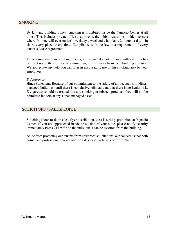### SMOKING

By law and building policy, smoking is prohibited inside the Ygnacio Center at all times. This includes private offices, stairwells, the lobby, restrooms, hidden corners where "no one will ever notice", weekdays, weekends, holidays,  $24$  hours a day – in short, every place, every time. Compliance with the law is a requirement of every tenant's Lease Agreement.

To accommodate our smoking clients, a designated smoking area with ash urns has been set up on the exterior, at a minimum, 25 feet away from each building entrance. We appreciate any help you can offer in encouraging use of this smoking area by your employees.

#### *E-Cigarettes*

Hines Statement: Because of our commitment to the safety of all occupants in Hinesmanaged buildings, until there is conclusive, clinical data that there is no health risk, E-cigarettes should be treated like any smoking or tobacco products; they will not be permitted indoors at any Hines-managed asset.

### SOLICITORS /SALESPEOPLE

Soliciting (door-to-door sales, flyer distribution, etc.) is strictly prohibited at Ygnacio Center. If you are approached inside or outside of your suite, please notify security immediately (925) 944-9936 so the individuals can be escorted from the building.

Aside from protecting our tenants from unwanted solicitations, our concern is that both casual and professional thieves use the salesperson role as a cover for theft.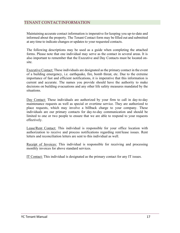## TENANT CONTACTINFORMATION

Maintaining accurate contact information is imperative for keeping you up-to-date and informed about the property. The Tenant Contact form may be filled out and submitted at any time to indicate changes or updates to your requested contacts.

The following descriptions may be used as a guide when completing the attached forms. Please note that one individual may serve as the contact in several areas. It is also important to remember that the Executive and Day Contacts must be located onsite.

Executive Contact: These individuals are designated asthe primary contact in the event of a building emergency, i.e. earthquake, fire, bomb threat, etc. Due to the extreme importance of fast and efficient notifications, it is imperative that this information is current and accurate. The names you provide should have the authority to make decisions on building evacuations and any other life safety measures mandated by the situations.

Day Contact: These individuals are authorized by your firm to call in day-to-day maintenance requests as well as special or overtime service. They are authorized to place requests, which may involve a billback charge to your company. These individuals are our primary contacts for day-to-day communication and should be limited to one or two people to ensure that we are able to respond to your requests effectively.

Lease/Rent Contact: This individual is responsible for your office location with authorization to receive and process notifications regarding rent/lease issues. Rent letters and reconciliation letters are sent to this individual as well.

Receipt of Invoices: This individual is responsible for receiving and processing monthly invoices for above standard services.

IT Contact: This individual is designated as the primary contact for any IT issues.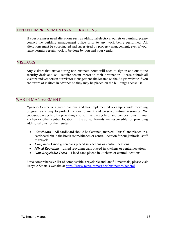### TENANT IMPROVEMENTS /ALTERATIONS

If your premises need alterations such as additional electrical outlets or painting, please contact the building management office prior to any work being performed. All alterations must be coordinated and supervised by property management, even if your lease permits certain work to be done by you and your vendor.

### VISITORS

Any visitors that arrive during non-business hours will need to sign in and out at the security desk and will require tenant escort to their destination. Please submit all visitors and vendorsin our visitor management site located on the Angus website if you are aware of visitors in advance so they may be placed on the buildings accesslist.

## WASTE MANAGEMENT

Ygnacio Center is a green campus and has implemented a campus wide recycling program as a way to protect the environment and preserve natural resources. We encourage recycling by providing a set of trash, recycling, and compost bins in your kitchen or other central location in the suite. Tenants are responsible for providing additional bins for their suites.

- *Cardboard* All cardboard should be flattened, marked "Trash" and placed in a cardboard bin in the break room/kitchen or central location for our janitorial staff to recycle.
- *Compost* Lined green cans placed in kitchens or central locations
- *Mixed Recycling* Lined recycling cans placed in kitchens or central locations
- *Non-Recyclable Trash –* Lined cans placed in kitchens or central locations

For a comprehensive list of compostable, recyclable and landfill materials, please visit Recycle Smart's website at [https://www.recyclesmart.org/businesses/general.](https://www.recyclesmart.org/businesses/general)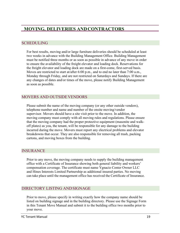# **MOVING, DELIVERIES ANDCONTRACTORS**

### SCHEDULING

For best results, moving and/or large furniture deliveries should be scheduled at least two weeks in advance with the Building Management Office. Building Management must be notified three months or as soon as possible in advance of any move in order to ensure the availability of the freight elevator and loading dock. Reservations for the freight elevator and loading dock are made on a first-come, first-served basis. Moves are restricted to start at/after 6:00 p.m., and to end no later than 7:00 a.m., Monday through Friday, and are not restricted on Saturdays and Sundays. If there are any changes of dates and/or times of the move, please notify Building Management as soon as possible.

## MOVERS AND OUTSIDEVENDORS

Please submit the name of the moving company (or any other outside vendors), telephone number and name and number of the onsite moving/vendor supervisor. Movers should have a site visit prior to the move. In addition, the moving company must comply with all moving rules and regulations. Please ensure that the moving company had the proper protective equipment (masonite and walkoff plates) as you, the tenant, will be responsible for any damage to the building incurred during the move. Movers must report any electrical problems and elevator breakdowns that occur. They are also responsible for removing all trash, packing cartons, and moving boxes from the building.

### **INSURANCE**

Prior to any move, the moving company needs to supply the building management office with a Certificate of Insurance showing both general liability and workers' compensation coverage. The certificate must name Ygnacio Center Owner LLC and Hines Interests Limited Partnership as additional insured parties. No moving can take place until the management office has received the Certificate of Insurance.

# DIRECTORY LISTING ANDSIGNAGE

Prior to move, please specify in writing exactly how the company name should be listed on building signage and in the building directory. Please use the Signage Form in this Tenant Move Manual and submit it to the building office two months prior to your move.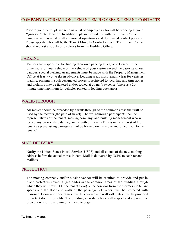## COMPANY INFORMATION, TENANT EMPLOYEES & TENANT CONTACTS

Prior to your move, please send us a list of employees who will be working at your Ygnacio Center location. In addition, please provide us with the Tenant Contact names as well as a list of all authorized signatories and designated contact persons. Please specify who will be the Tenant Move In Contact as well. The Tenant Contact should request a supply of cardkeys from the Building Office.

### PARKING

Visitors are responsible for finding their own parking at Ygnacio Center. If the dimensions of your vehicle or the vehicle of your visitor exceed the capacity of our garages, special parking arrangements must be made with the Property Management Office at least two weeks in advance. Loading areas must remain clear for vehicles loading, parking in such designated spaces is restricted to local law and time zones and violators may be ticketed and/or towed at owner's expense. There is a 20 minute time maximum for vehicles parked in loading dock areas.

### WALK-THROUGH

All moves should be preceded by a walk-through of the common areas that will be used by the movers (the path of travel). The walk-through participants include representatives of the tenant, moving company, and building management who will record any pre-existing damage in the path of travel. (This is in the interest of the tenant as pre-existing damage cannot be blamed on the move and billed back to the tenant.)

### MAIL DELIVERY

Notify the United States Postal Service (USPS) and all clients of the new mailing address before the actual move-in date. Mail is delivered by USPS to each tenant mailbox.

### PROTECTION

The moving company and/or outside vendor will be required to provide and put in place protective covering (masonite) in the common areas of the building through which they will travel. On the tenant floor(s), the corridor from the elevators to tenant spaces and the floor and walls of the passenger elevators must be protected with masonite. Doors and doorframes must be covered and walk-off plates must be provided to protect door thresholds. The building security officer will inspect and approve the protection prior to allowing the move to begin.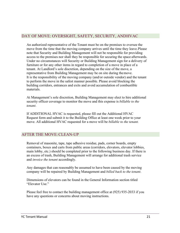## DAY OF MOVE: OVERSIGHT, SAFETY, SECURITY, ANDHVAC

An authorized representative of the Tenant must be on the premises to oversee the move from the time that the moving company arrives until the time they leave.Please note that Security and Building Management will not be responsible for providing access to the premises nor shall they be responsible for securing the space afterwards. Under no circumstances will Security or Building Management sign for a delivery of furniture or for any other items in regard to completion of a move in place of a tenant. At Landlord's sole discretion, depending on the size of the move, a representative from Building Management may be on site during themove. It is the responsibility of the moving company (and/or outside vendor) and the tenant to perform the move in the safest manner possible. Please avoid blocking the building corridors, entrances and exits and avoid accumulation of combustible materials.

At Management's sole discretion, Building Management may elect to hire additional security officer coverage to monitor the move and this expense is *billable to the tenant*.

If ADDITIONAL HVAC is requested, please fill out the Additional HVAC Request form and submit it to the Building Office at least one week prior to your move. All additional HVAC requested for a move will be *billable to the tenant.*

# AFTER THE MOVE:CLEAN-UP

Removal of masonite, tape, tape adhesive residue, pads, corner boards, empty containers, boxes and carts from public areas (corridors, elevators, elevator lobbies, main lobby, etc.) should be completed prior to the following business day. If there is an excess of trash, Building Management will arrange for additional trash service and *invoice the tenant* accordingly.

Any damages that can reasonably be assumed to have been caused by the moving company will be repaired by Building Management and *billed back to the tenant*.

Dimensions of elevators can be found in the General Information section titled "Elevator Use."

Please feel free to contact the building management office at (925) 935-2033 if you have any questions or concerns about moving instructions.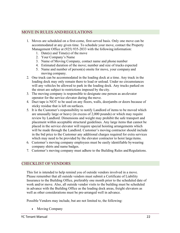# MOVE IN RULES ANDREGULATIONS

- 1. Moves are scheduled on a first-come, first-served basis. Only one move can be accommodated at any given time. To schedule your move, contact the Property Management Office at (925) 935-2033 with the following information:
	- 1. Date(s) and Time(s) of the move
	- 2. Your Company's Name
	- 3. Name of Moving Company, contact name and phone number
	- 4. Estimated duration of the move; number and size of trucks expected
	- 5. Name and number of person(s) onsite for move, your company and moving company.
- 2. One truck can be accommodated in the loading dock at a time. Any truck in the loading dock may only remain there to load or unload. Under no circumstances will any vehicles be allowed to park in the loading dock. Any trucks parked on the street are subject to restrictions imposed by the city.
- 3. The moving company is responsible to designate one person as an elevator operator for the service elevator during the move.
- 4. Duct tape is NOT to be used on any floors, walls, doorjambs or doors because of sticky residue that is left on surfaces.
- 5. It is the Customer's responsibility to notify Landlord of items to be moved which are unusually large or heavy (in excess of 2,000 pounds) or which may require review by Landlord. Dimensions and weight may prohibit the safe transport and placement within acceptable structural guidelines. Any large items that cannot be placed in the service elevator will require special hoisting arrangements which will be made through the Landlord. Customer's moving contractor should include in the bid price to the Customer any additional charges required for extra services which may need to be provided by the elevator contractor to hoist large items.
- 6. Customer's moving company employees must be easily identifiable bywearing company shirts and name badges.
- 7. Customer's moving company must adhere to the Building Rules and Regulations.

### CHECKLIST OF VENDORS

This list is intended to help remind you of outside vendors involved in a move. Please remember that all outside vendors must submit a Certificate of Liability Insurance to the Building Office, preferably one month prior to the scheduled date of work and/or move. Also, all outside vendor visits to the building must be scheduled in advance with the Building Office as the loading dock areas, freight elevators as well as other considerations must be pre-arranged well in advance.

Possible Vendors may include, but are not limited to, the following:

• Moving Company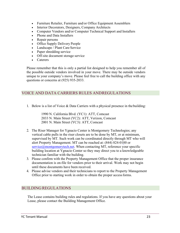- Furniture Retailer, Furniture and/or Office Equipment Assemblers
- Interior Decorators, Designers, Company Architects
- Computer Vendors and/or Computer Technical Support and Installers
- Phone and Data Installers
- Repair persons
- Office Supply Delivery People
- Landscape / Plant Care Service
- Paper shredding service
- Off-site document storage service
- **Caterers**

Please remember that this is only a partial list designed to help you remember all of the possible outside vendors involved in your move. There may be outside vendors unique to your company's move. Please feel free to call the building office with any questions or concerns at (925) 935-2033.

# VOICE AND DATA CARRIERS RULES ANDREGULATIONS

1. Below is a list of Voice  $&$  Data Carriers with a physical presence in the building:

1990 N. California Blvd. (YC1): ATT, Comcast 2033 N. Main Street (YC2): ATT, Verizon, Comcast 2001 N. Main Street (YC3): ATT, Comcast

- 2. The Riser Manager for Ygnacio Center is Montgomery Technologies; any vertical cable pulls in the riser closets are to be done by MT, or at minimum, supervised by MT. Such work can be coordinated directly through MT who will alert Property Management. MT can be reached at: (844) 824-0100 or  $s$ ervice $@$ montgomerytech.net. When contacting MT, reference your specific building location at Ygnacio Center so they may direct you to a knowledgeable technician familiar with the building.
- 3. Please confirm with the Property Management Office that the proper insurance documentation is on-file for vendors prior to their arrival. Work may not begin until these documents have been received.
- 4. Please advise vendors and their technicians to report to the Property Management Office prior to starting work in order to obtain the proper accessforms.

# BUILDING REGULATIONS

The Lease contains building rules and regulations. If you have any questions about your Lease, please contact the Building Management Office.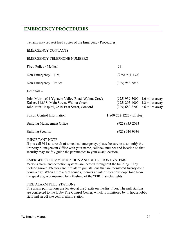# **EMERGENCY PROCEDURES**

Tenants may request hard copies of the Emergency Procedures.

#### EMERGENCY CONTACTS

#### EMERGENCY TELEPHONE NUMBERS

| Fire / Police / Medical                                                                                                                         | 911                                                                                             |  |
|-------------------------------------------------------------------------------------------------------------------------------------------------|-------------------------------------------------------------------------------------------------|--|
| Non-Emergency $-$ Fire                                                                                                                          | $(925)$ 941-3300                                                                                |  |
| $Non-Energy-Policy$                                                                                                                             | $(925)$ 943-5844                                                                                |  |
| Hospitals --                                                                                                                                    |                                                                                                 |  |
| John Muir, 1601 Ygnacio Valley Road, Walnut Creek<br>Kaiser, 1425 S. Main Street, Walnut Creek<br>John Muir Hospital, 2540 East Street, Concord | (925) 939-3000 1.6 miles away<br>(925) 295-4000 1.2 miles away<br>(925) 682-8200 6.6 miles away |  |
| Poison Control Information                                                                                                                      | $1-800-222-1222$ (toll free)                                                                    |  |
| <b>Building Management Office</b>                                                                                                               | $(925)$ 935-2033                                                                                |  |
| <b>Building Security</b>                                                                                                                        | (925) 944-9936                                                                                  |  |

#### IMPORTANT NOTE

If you call 911 as a result of a medical emergency, please be sure to also notify the Property Management Office with your name, callback number and location so that security may swiftly guide the paramedics to your exact location.

#### EMERGENCY COMMUNICATION AND DETECTION SYSTEMS

Various alarm and detection systems are located throughout the building. They include smoke detectors and fire alarm pull stations that are monitored twenty-four hours a day. When a fire alarm sounds, it emits an intermittent "whoop" tone from the speakers, accompanied by a flashing of the "FIRE" strobe lights.

#### FIRE ALARM PULL STATIONS

Fire alarm pull stations are located at the 3 exits on the first floor. The pull stations are connected to the lobby Fire Control Center, which is monitored by in house lobby staff and an off site central alarm station.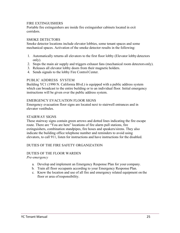#### FIRE EXTINGUISHERS

Portable fire extinguishers are inside fire extinguisher cabinets located in exit corridors.

#### SMOKE DETECTORS

Smoke detector locations include elevator lobbies, some tenant spaces and some mechanical spaces. Activation of the smoke detector results in the following:

- 1. Automatically returns all elevators to the first floor lobby (Elevator lobby detectors only).
- 2. Stops the main air supply and triggers exhaust fans (mechanical room detectors only).
- 3. Releases all elevator lobby doors from their magnetic holders.
- 4. Sends signals to the lobby Fire ControlCenter.

#### PUBLIC ADDRESS SYSTEM

Building YC1 (1990 N. California Blvd.) is equipped with a public address system which can broadcast to the entire building or to an individual floor. Initial emergency instructions will be given over the public address system.

#### EMERGENCY EVACUATION FLOOR SIGNS

Emergency evacuation floor signs are located next to stairwell entrances and in elevator vestibules.

#### STAIRWAY SIGNS

These stairway signs contain green arrows and dotted lines indicating the fire escape route. There are "You are here" locations of fire alarm pull stations, fire extinguishers, combination standpipes, fire hoses and speakers/sirens. They also indicate the building office telephone number and reminders to avoid using elevators, to call 911, listen for instructions and have instructions for the disabled.

#### DUTIES OF THE FIRE SAFETY ORGANIZATION

#### DUTIES OF THE FLOOR WARDEN

*Pre-emergency*

- a. Develop and implement an Emergency Response Plan for your company.
- b. Train all floor occupants according to your Emergency Response Plan.
- c. Know the location and use of all fire and emergency related equipment on the floor or area of responsibility.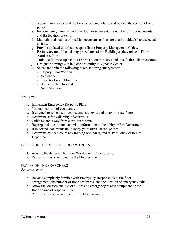- d. Appoint area wardens if the floor is extremely large and beyond the control of one person.
- e. Be completely familiar with the floor arrangement, the number of floor occupants, and the location of exits.
- f. Maintain updated list of disabled occupants and insure that individuals haveselected an aide.
- g. Provide updated disabled occupant list to Property Management Office.
- h. Be fully aware of the existing procedures of the Building as they relate toFloor Warden's floor.
- i. Train the floor occupants in fire prevention measures and in safe fire exit procedures.
- j. Designate a refuge site in close proximity to Ygnacio Center.
- k. Select and train the following to assist during emergencies:
	- o Deputy Floor Warden
	- o Searchers
	- o Elevator Lobby Monitors
	- o Aides for the Disabled
	- o Stair Monitors

#### *Emergency*

- a. Implement Emergency Response Plan.
- b. Maintain control of occupants.
- c. If directed to relocate, direct occupants to exits and to appropriate floors.
- d. Determine safe availability of stairwells.
- e. Guide tenants away from elevators to stairs.
- f. Be prepared to communicate vital information to the lobby or Fire Department.
- g. If relocated, communicate to lobby your arrival at refuge area.
- h. Determine by head count any missing occupants, and relay to lobby or to Fire Department.

#### DUTIES OF THE DEPUTY FLOOR WARDEN

- 1. Assume the duties of the Floor Warden in his/her absence.
- 2. Perform all tasks assigned by the Floor Warden.

### DUTIES OF THE SEARCHERS

*Pre-emergency*

- a. Become completely familiar with Emergency Response Plan, the floor arrangement, the number of floor occupants, and the location of emergency exits.
- b. Know the location and use of all fire and emergency related equipment onthe floor or area of responsibility.
- c. Perform all tasks as assigned by the Floor Warden.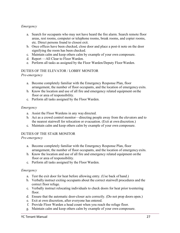### *Emergency*

- a. Search for occupants who may not have heard the fire alarm. Search remote floor areas, rest rooms, computer or telephone rooms, break rooms, and copier rooms, etc. Direct persons found to closest exit.
- b. Once offices have been checked, close door and place a post-it note on the door signifying the room has been checked.
- c. Maintain calm and keep others calm by example of your own composure.
- d. Report —All Clear to Floor Warden.
- e. Perform all tasks as assigned by the Floor Warden/Deputy FloorWarden.

#### DUTIES OF THE ELEVATOR / LOBBY MONITOR *Pre-emergency*

- a. Become completely familiar with the Emergency Response Plan, floor arrangement, the number of floor occupants, and the location of emergency exits.
- b. Know the location and use of all fire and emergency related equipment onthe floor or area of responsibility.
- c. Perform all tasks assigned by the Floor Warden.

#### *Emergency*

- a. Assist the Floor Wardens in any way directed.
- b. Act as a crowd control monitor—directing people away from the elevators and to the nearest stairwell for relocation or evacuation. (Exit at own discretion.)
- c. Maintain calm and keep others calm by example of your own composure.

### DUTIES OF THE STAIR MONITOR

#### *Pre-emergency*

- a. Become completely familiar with the Emergency Response Plan, floor arrangement, the number of floor occupants, and the location of emergency exits.
- b. Know the location and use of all fire and emergency related equipment onthe floor or area of responsibility.
- c. Perform all tasks assigned by the Floor Warden.

#### *Emergency*

- a. Test the exit door for heat before allowing entry. (Use back of hand.)
- b. Verbally instruct exiting occupants about the correct stairwell procedures and the correct floor refuge.
- c. Verbally instruct relocating individuals to check doors for heat prior toentering floor.
- d. Ensure that the automatic door-closer acts correctly. (Do not prop doors open.)
- e. Exit at own discretion, after everyone has entered.
- f. Provide Floor Warden a head count when you reach the refuge floor.
- g. Maintain calm and keep others calm by example of your own composure.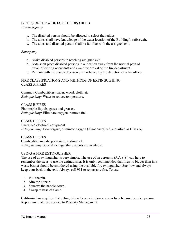#### DUTIES OF THE AIDE FOR THE DISABLED *Pre-emergency*

- a. The disabled person should be allowed to select their aides.
- b. The aides shall have knowledge of the exact location of the Building's safest exit.
- c. The aides and disabled person shall be familiar with the assigned exit.

#### *Emergency*

- a. Assist disabled persons in reaching assigned exit.
- b. Aide shall place disabled persons in a location away from the normal path of travel of exiting occupants and await the arrival of the fire department.
- c. Remain with the disabled person until relieved by the direction of a fire officer.

#### FIRE CLASSIFICATIONS AND METHODS OF EXTINGUISHING CLASS A FIRES

Common Combustibles; paper, wood, cloth, etc. *Extinguishing:* Water to reduce temperature.

CLASS B FIRES Flammable liquids, gases and greases. *Extinguishing:* Eliminate oxygen, remove fuel.

CLASS C FIRES Energized electrical equipment. *Extinguishing:* De-energize, eliminate oxygen (if not energized, classified as Class A).

CLASS D FIRES Combustible metals; potassium, sodium, etc. *Extinguishing:* Special extinguishing agents are available.

#### USING A FIRE EXTINGUISHER

The use of an extinguisher is very simple. The use of an acronym (P.A.S.S.) can help to remember the steps to use the extinguisher. It is only recommended that fires no bigger than in a waste basket should be smothered using the available fire extinguisher. Stay low and always keep your back to the exit. Always call 911 to report any fire. To use:

- 1. **P**ull the pin.
- 2. **A**im the nozzle.
- 3. **S**queeze the handle down.
- 4. **S**weep at base of flame.

California law requires that extinguishers be serviced once a year by a licensed service person. Report any that need service to Property Management.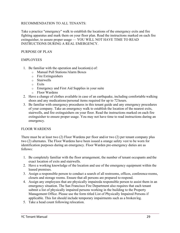#### RECOMMENDATION TO ALL TENANTS:

Take a practice "emergency" walk to establish the locations of the emergency exits and fire fighting apparatus and mark them on your floor plan. Read the instructions marked on each fire extinguisher, to assure proper usage — YOU WILL NOT HAVE TIME TO READ INSTRUCTIONS DURING A REAL EMERGENCY.

#### PURPOSE OF PLAN

#### EMPLOYEES

- 1. Be familiar with the operation and location(s) of:
	- o Manual Pull Stations/Alarm Boxes
	- o Fire Extinguishers
	- o Stairwells
	- o Exits
	- o Emergency and First Aid Supplies in your suite
	- o Floor Wardens
- 2. Have a change of clothes available in case of an earthquake, including comfortable walking shoes and any medications/personal items required for up to 72 hours.
- 3. Be familiar with emergency procedures in this tenant guide and any emergency procedures of your company. Take an emergency walk to establish the location of the nearest exits, stairwells, and fire extinguishers on your floor. Read the instructions marked on each fire extinguisher to ensure proper usage. You may not have time to read instructions during an emergency.

#### FLOOR WARDENS

There must be at least two (2) Floor Wardens per floor and/or two (2) per tenant company plus two (2) alternates. The Floor Wardens have been issued a orange safety vest to be worn for identification purposes during an emergency. Floor Warden pre-emergency duties are as follows:

- 1. Be completely familiar with the floor arrangement, the number of tenant occupants and the exact location of exits and stairwells.
- 2. Have a working knowledge of the location and use of the emergency equipment within the leased premises.
- 3. Assign a responsible person to conduct a search of all restrooms, offices, conference rooms, closets and storage rooms. Ensure that all persons are prepared to respond.
- 4. Assign any employees that are physically impaireda responsible person to assist them in an emergency situation. The San Francisco Fire Department also requires that each tenant submit a list of physically impaired persons working in the building to the Property Management Office. Please use the form titled List of Physically Impaired Persons if applicable. This list should include temporary impairments such as a broken leg.
- 5. Take a head count following relocation.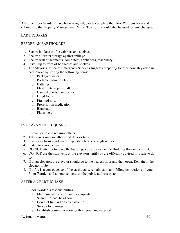After the Floor Wardens have been assigned, please complete the Floor Wardens form and submit it to the Property Management Office. This form should also be used for any changes.

#### EARTHQUAKES

#### BEFORE AN EARTHQUAKE

- 1. Secure bookcases, file cabinets and shelves.
- 2. Secure all water storage against spillage.
- 3. Secure wall attachments, computers, appliances, machinery.
- 4. Install lip to front of bookcases and shelves.
- 5. The Mayor's Office of Emergency Services suggests preparing for a 72 hour stay after an earthquake by storing the following items:
	- a. Packaged water.
	- b. Portable radio or television.
	- c. Batteries.
	- d. Flashlights, rope, small tools.
	- e. Canned goods, can opener.
	- f. Dried foods.
	- g. First-aid kits.
	- h. Prescription medication.
	- i. Blankets.
	- j. Flat shoes.

#### DURING AN EARTHQUAKE

- 1. Remain calm and reassure others.
- 2. Take cover underneath a solid desk or table.
- 3. Stay away from windows, filing cabinets, shelves, glass doors.
- 4. Listen to announcements.
- 5. DO NOT attempt to leave the building; you are safer in the Building than in the street.
- 6. DO NOT use the stairwells or the elevators until you are officially advised it is safe to do so.
- 7. If in an elevator, the elevator should go to the nearest floor and then open. Remain in the elevator lobby.
- 8. If a fire is a consequence of the earthquake, remain calm and follow instructions of your Floor Warden and announcements on the public address system.

#### AFTER AN EARTHQUAKE

- 1. Floor Warden's responsibilities
	- a. Maintain calm control over occupants.
	- b. Search, rescue, head count.
	- c. Conduct first aid on any casualties.
	- d. Survey for damage.
	- e. Establish communication: both internal and external.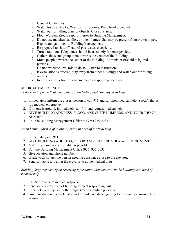- 2. General Guidelines
- a. Watch for aftershocks. Wait for instructions. Keep head protected.
- b. Watch out for falling glass or objects. Close curtains.
- c. Floor Wardens should report injuries to Building Management.
- d. Do not use matches, candles, or open flames. Gas may be present from broken pipes. Report any gas smell to Building Management.
- e. Be prepared to shut off natural gas, water, electricity.
- f. Turn a radio on. Telephones should be used only for emergencies.
- g. Gather tables and group them towards the center of the Building.
- h. Move people towards the center of the Building. Administer first aid toinjured persons.
- i. Do not evacuate until told to do so. Listen to instructions.
- j. If evacuation is ordered, stay away from other buildings and watch out for falling objects.
- k. In the event of a fire, follow emergency response procedures.

#### MEDICAL EMERGENCY

*In the event of a medical emergency, upon feeling that you may need help:*

- 1. Immediately inform the closest person to call 911 and summon medical help. Specify that it is a medical emergency.
- 2. If no one is around, immediately call 911 and request medical help.
- 3. GIVE BUILDING ADDRESS, FLOOR, AND SUITE NUMBERS, AND YOURPHONE NUMBER.
- 4. Call the Building Management Office at (925) 935-2033.

*Upon being informed of another person in need of medical help:*

- 1. Immediately call 911
- 2. GIVE BUILDING ADDRESS, FLOOR AND SUITE NUMBER and PHONE NUMBER.
- 3. Make ill person as comfortable as possible.
- 4. Call the Building Management Office (925) 935-2033.
- 5. Give location and phone number
- 6. If safe to do so, get the person needing assistance close to the elevator.
- 7. Send someone to wait at the elevator to guide medical units.

#### *Building Staff response upon receiving information that someone in the building is in need of medical help:*

- 1. Call 911 to ensure medical response.
- 2. Send someone to front of building to meet responding unit.
- 3. Recall elevator (typically the freight) for responding personnel.
- 4. Guide medical units to elevator and provide assistance getting to floor and personneeding assistance.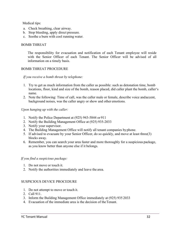Medical tips:

- a. Check breathing, clear airway.
- b. Stop bleeding, apply direct pressure.
- c. Soothe a burn with cool running water.

#### BOMB THREAT

The responsibility for evacuation and notification of each Tenant employee will reside with the Senior Officer of each Tenant. The Senior Officer will be advised of all information on a timely basis.

#### BOMB THREAT PROCEDURE

*If you receive a bomb threat by telephone:*

- 1. Try to get as much information from the caller as possible: such as detonation time, bomb locations, floor, kind and size of the bomb, reason placed, did caller plant the bomb, caller's name.
- 2. Note the following: Time of call, was the caller male or female, describe voice andaccent, background noises, was the caller angry or show and other emotions.

*Upon hanging up with the caller:*

- 1. Notify the Police Department at (925) 943-5844 or 911
- 2. Notify the Building Management Office at (925) 935-2033
- 3. Notify your supervisor.
- 4. The Building Management Office will notify all tenant companies byphone.
- 5. If advised to evacuate by your Senior Officer, do so quickly, and move at least three(3) blocks away.
- 6. Remember, you can search your area faster and more thoroughly for a suspicious package, as you know better than anyone else if it belongs.

#### *If you find a suspicious package:*

- 1. Do not move or touch it.
- 2. Notify the authorities immediately and leave the area.

#### SUSPICIOUS DEVICE PROCEDURE

- 1. Do not attempt to move or touch it.
- 2. Call 911.
- 3. Inform the Building Management Office immediately at (925) 935 2033
- 4. Evacuation of the immediate area is the decision of theTenant.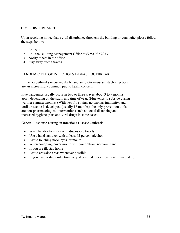#### CIVIL DISTURBANCE

Upon receiving notice that a civil disturbance threatens the building or your suite, please follow the steps below:

- 1. Call 911.
- 2. Call the Building Management Office at (925) 935 2033.
- 3. Notify others in the office.
- 4. Stay away from the area.

#### PANDEMIC FLU OF INFECTIOUS DISEASE OUTBREAK

Influenza outbreaks occur regularly, and antibiotic-resistant staph infections are an increasingly common public health concern.

Flue pandemics usually occur in two or three waves about 3 to 9 months apart, depending on the strain and time of year. (Flue tends to subside during warmer summer months.) With new flu strains, no one has immunity, and until a vaccine is developed (usually 18 months), the only prevention tools are non-pharmacological interventions such as social distancing and increased hygiene, plus anti-viral drugs in some cases.

General Response During an Infectious Disease Outbreak

- Wash hands often; dry with disposable towels.
- Use a hand sanitizer with at least 62 percent alcohol
- Avoid touching nose, eyes, or mouth
- When coughing, cover mouth with your elbow, not your hand
- If you are ill, stay home
- Avoid crowded areas whenever possible
- If you have a staph infection, keep it covered. Seek treatment immediately.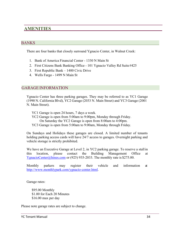# **AMENITIES**

## BANKS

There are four banks that closely surround Ygnacio Center, in Walnut Creek:

- 1. Bank of America Financial Center 1330 N Main St
- 2. First Citizens Bank Banking Office 101 Ygnacio Valley Rd Suite #425
- 3. First Republic Bank 1400 Civic Drive
- 4. Wells Fargo 1499 N Main St

### GARAGE INFORMATION

Ygnacio Center has three parking garages. They may be referred to as YC1 Garage (1990 N. California Blvd), YC2 Garage (2033 N. Main Street) and YC3 Garage (2001 N. Main Street).

- YC1 Garage is open 24 hours, 7 days a week.
- YC2 Garage is open from 5:00am to 9:00pm, Monday through Friday.
	- On Saturday the YC2 Garage is open from 8:00am to 4:00pm.
- YC3 Garage is open from 5:00am to 9:00am, Monday through Friday.

On Sundays and Holidays these garages are closed. A limited number of tenants holding parking access cards will have 24/7 access to garages. Overnight parking and vehicle storage is strictly prohibited.

We have an Executive Garage at Level 2, in YC2 parking garage. To reserve a stall in this location, please contact the Building Management Office at [YgnacioCenter@hines.com o](mailto:YgnacioCenter@hines.com)r (925) 935-2033. The monthly rate is \$275.00.

Monthly parkers may register their vehicle and information at [http://www.monthlypark.com/ygnacio-center.html.](http://www.monthlypark.com/ygnacio-center.html)

Garage rates:

\$95.00 Monthly \$1.00 for Each 20 Minutes \$16.00 max per day

Please note garage rates are subject to change.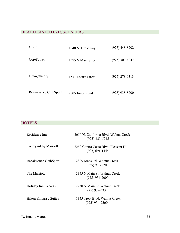# HEALTH AND FITNESSCENTERS

| <b>CB</b> Fit         | 1840 N. Broadway   | $(925)$ 448-8202 |
|-----------------------|--------------------|------------------|
| CorePower             | 1375 N Main Street | $(925)$ 300-4047 |
| Orangetheory          | 1531 Locust Street | $(925)$ 278-6313 |
| Renaissance ClubSport | 2805 Jones Road    | $(925)$ 938-8700 |

# **HOTELS**

| Residence Inn                | 2050 N. California Blvd, Walnut Creek<br>$(925) - 433 - 5215$ |
|------------------------------|---------------------------------------------------------------|
| Courtyard by Marriott        | 2250 Contra Costa Blvd, Pleasant Hill<br>$(925) 691 - 1444$   |
| Renaissance ClubSport        | 2805 Jones Rd, Walnut Creek<br>$(925)$ 938-8700               |
| The Marriott                 | 2355 N Main St, Walnut Creek<br>$(925)$ 934-2000              |
| Holiday Inn Express          | 2730 N Main St, Walnut Creek<br>$(925)$ 932-3332              |
| <b>Hilton Embassy Suites</b> | 1345 Treat Blvd, Walnut Creek<br>$(925)$ 934-2500             |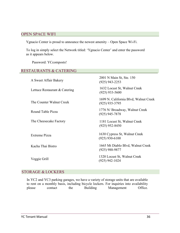### OPEN SPACE WIFI

Ygnacio Center is proud to announce the newest amenity – Open Space Wi-Fi.

To log in simply select the Network titled: 'Ygnacio Center' and enter the password as it appears below.

Password: YCcomposts!

### RESTAURANTS & CATERING

| A Sweet Affair Bakery         | 2001 N Main St, Ste. 150<br>$(925)$ 943-2253              |
|-------------------------------|-----------------------------------------------------------|
| Lettuce Restaurant & Catering | 1632 Locust St, Walnut Creek<br>$(925)$ 933-5600          |
| The Counter Walnut Creek      | 1699 N. California Blvd, Walnut Creek<br>$(925)$ 935-3795 |
| Round Table Pizza             | 1776 N/ Broadway, Walnut Creek<br>$(925)$ 945-7878        |
| The Cheesecake Factory        | 1181 Locust St, Walnut Creek<br>$(925)$ 952-8450          |
| Extreme Pizza                 | 1630 Cypress St, Walnut Creek<br>$(925)$ 930-6100         |
| Kacha Thai Bistro             | 1665 Mt Diablo Blvd, Walnut Creek<br>(925) 988-9877       |
| Veggie Grill                  | 1320 Locust St, Walnut Creek<br>$(925)$ 942-1024          |

### STORAGE & LOCKERS

In YC2 and YC3 parking garages, we have a variety of storage units that are available to rent on a monthly basis, including bicycle lockers. For inquiries into availability please contact the Building Management Office.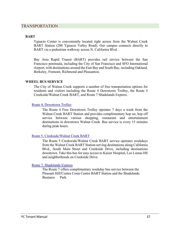#### TRANSPORTATION

#### **BART**

Ygnacio Center is conveniently located right across from the Walnut Creek BART Station (200 Ygnacio Valley Road). Our campus connects directly to BART via a pedestrian walkway across N. California Blvd.

Bay Area Rapid Transit (BART) provides rail service between the San Francisco peninsula, including the City of San Francisco and SFO International Airport, with destinations around the East Bay and South Bay, including Oakland, Berkeley, Fremont, Richmond and Pleasanton.

#### **WHEEL BUS SERVICE**

The City of Walnut Creek supports a number of free transportation options for residents and visitors including the Route 4 Downtown Trolley, the Route 5 Creekside/Walnut Creek BART, and Route 7 Shadelands Express.

#### [Route 4, Downtown Trolley](https://countyconnection.com/schedules-change-%20on-several-routes-effective-22617/4/)

The Route 4 Free Downtown Trolley operates 7 days a week from the Walnut Creek BART Station and provides complimentary hop on, hop off service between various shopping, restaurant and entertainment destinations in downtown Walnut Creek. Bus service is every 15 minutes during peak hours.

#### [Route 5, Creekside/Walnut Creek BART](https://countyconnection.com/schedules-change-%20on-several-routes-%20effective-22617/5/)

The Route 5 Creekwide/Walnut Creek BART service operates weekdays from the Walnut Creek BART Station serving destinations along California Blvd., South Main Street and Creekside Drive, including destinations downtown. Take this bus for easy access to Kaiser Hospital, Los Lomas HS and neighborhoods on Creekside Drive.

#### [Route 7, Shadelands Express](https://countyconnection.com/schedules-change-on-several-routes-%20effective-22617/7/)

The Route 7 offers complimentary weekday bus service between the Pleasant Hill/Contra Costa Centre BART Station and the Shadelands Business Park.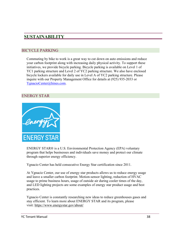# **SUSTAINABILITY**

## BICYCLE PARKING

Commuting by bike to work is a great way to cut down on auto emissions and reduce your carbon footprint along with increasing daily physical activity. To support these initiatives, we provide bicycle parking. Bicycle parking is available on Level 1 of YC1 parking structure and Level 2 of YC2 parking structure. We also have enclosed bicycle lockers available for daily use in Level A of YC2 parking structure. Please inquire with our Property Management Office for details at (925) 935-2033 or [YgnacioCenter@hines.com.](mailto:YgnacioCenter@hines.com)

### ENERGY STAR



ENERGY STAR® is a U.S. Environmental Protection Agency (EPA) voluntary program that helps businesses and individuals save money and protect our climate through superior energy efficiency.

Ygnacio Center has held consecutive Energy Star certification since 2011.

At Ygnacio Center, our use of energy star products allows us to reduce energy usage and leave a smaller carbon footprint. Motion-sensor lighting, reduction of HVAC usage to prime business hours, usage of outside air during cooler times of the day, and LED lighting projects are some examples of energy star product usage and best practices.

Ygnacio Center is constantly researching new ideas to reduce greenhouses gases and stay efficient. To learn more about ENERGY STAR and its program, please visit:<https://www.energystar.gov/about/>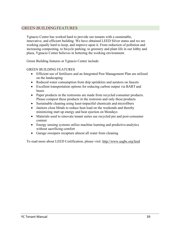# GREEN BUILDINGFEATURES

Ygnacio Center has worked hard to provide our tenants with a sustainable, innovative, and efficient building. We have obtained LEED Silver status and we are working equally hard to keep, and improve upon it. From reduction of pollution and increasing composting, to bicycle parking, to greenery and plant life in our lobby and plaza, Ygnacio Center believes in bettering the working environment.

Green Building features at Ygnacio Center include:

#### GREEN BUILDING FEATURES

- Efficient use of fertilizers and an Integrated Pest Management Plan are utilized on the landscaping
- Reduced water consumption from drip sprinklers and aerators on faucets
- Excellent transportation options for reducing carbon output via BART and buses
- Paper products in the restrooms are made from recycled consumer products. Please compost these products in the restroom and only these products
- Sustainable cleaning using least-impactful chemicals and microfibers
- Janitors close blinds to reduce heat load on the weekends and thereby minimizing start up energy and heat ejection on Mondays
- Materials used to renovate tenant suites use recycled pre and post-consumer content
- Energy sensing systems utilize machine learning and predictive analytics without sacrificing comfort
- Garage sweepers recapture almost all water from cleaning

To read more about LEED Certification, please visit:<http://www.usgbc.org/leed>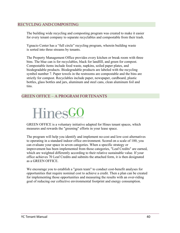### RECYCLING ANDCOMPOSTING

The building wide recycling and composting program was created to make it easier for every tenant company to separate recyclables and compostable from their trash.

Ygnacio Center has a "full circle" recycling program, wherein building waste is sorted into three streams by tenants.

The Property Management Office provides every kitchen or break room with three bins. The blue can is for recyclables, black for landfill, and green for compost. Compostable items include food waste, napkins, soiled paper plates, and biodegradable products. Biodegradable products are labeled with the recycling symbol number 7. Paper towels in the restrooms are compostable and the bins are strictly for compost. Recyclables include paper, newspaper, cardboard, plastic bottles, glass bottles and jars, aluminum and steel cans, clean aluminum foil and tins.

# GREEN OFFICE – A PROGRAM FORTENANTS



GREEN OFFICE is a voluntary initiative adapted for Hines tenant spaces, which measures and rewards the "greening" efforts in your lease space.

The program will help you identify and implement no-cost and low-cost alternatives to operating in a standard indoor office environment. Scored on a scale of 100, you can evaluate your space in seven categories. When a specific strategy or improvement has been implemented from those categories, "Leaf Credits" are earned, which are weighted differently according to their relative sustainable value. If your office achieves 70 Leaf Credits and submits the attached form, it is then designated as a GREEN OFFICE.

We encourage you to establish a "green team" to conduct cost-benefit analyses for opportunities that require nominal cost to achieve a credit. Then a plan can be created for implementing those opportunities and measuring the results with an over-riding goal of reducing our collective environmental footprint and energy consumption.